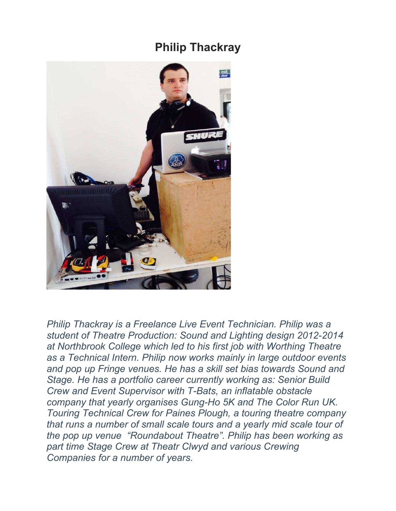## **Philip Thackray**



*Philip Thackray is a Freelance Live Event Technician. Philip was a student of Theatre Production: Sound and Lighting design 2012-2014 at Northbrook College which led to his first job with Worthing Theatre as a Technical Intern. Philip now works mainly in large outdoor events and pop up Fringe venues. He has a skill set bias towards Sound and Stage. He has a portfolio career currently working as: Senior Build Crew and Event Supervisor with T-Bats, an inflatable obstacle company that yearly organises Gung-Ho 5K and The Color Run UK. Touring Technical Crew for Paines Plough, a touring theatre company that runs a number of small scale tours and a yearly mid scale tour of the pop up venue "Roundabout Theatre". Philip has been working as part time Stage Crew at Theatr Clwyd and various Crewing Companies for a number of years.*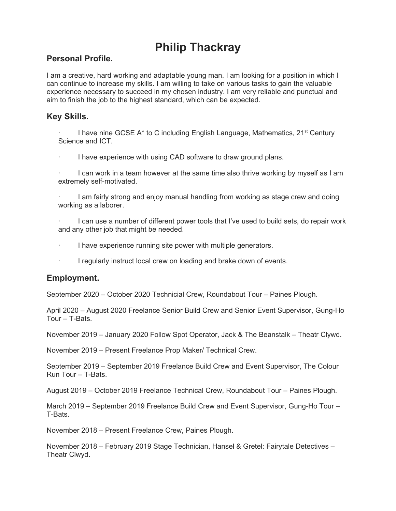# **Philip Thackray**

#### **Personal Profile.**

I am a creative, hard working and adaptable young man. I am looking for a position in which I can continue to increase my skills. I am willing to take on various tasks to gain the valuable experience necessary to succeed in my chosen industry. I am very reliable and punctual and aim to finish the job to the highest standard, which can be expected.

### **Key Skills.**

I have nine GCSE  $A^*$  to C including English Language, Mathematics, 21<sup>st</sup> Century Science and ICT.

I have experience with using CAD software to draw ground plans.

I can work in a team however at the same time also thrive working by myself as I am extremely self-motivated.

· I am fairly strong and enjoy manual handling from working as stage crew and doing working as a laborer.

· I can use a number of different power tools that I've used to build sets, do repair work and any other job that might be needed.

· I have experience running site power with multiple generators.

I regularly instruct local crew on loading and brake down of events.

#### **Employment.**

September 2020 – October 2020 Technicial Crew, Roundabout Tour – Paines Plough.

April 2020 – August 2020 Freelance Senior Build Crew and Senior Event Supervisor, Gung-Ho Tour – T-Bats.

November 2019 – January 2020 Follow Spot Operator, Jack & The Beanstalk – Theatr Clywd.

November 2019 – Present Freelance Prop Maker/ Technical Crew.

September 2019 – September 2019 Freelance Build Crew and Event Supervisor, The Colour Run Tour – T-Bats.

August 2019 – October 2019 Freelance Technical Crew, Roundabout Tour – Paines Plough.

March 2019 – September 2019 Freelance Build Crew and Event Supervisor, Gung-Ho Tour – T-Bats.

November 2018 – Present Freelance Crew, Paines Plough.

November 2018 – February 2019 Stage Technician, Hansel & Gretel: Fairytale Detectives – Theatr Clwyd.